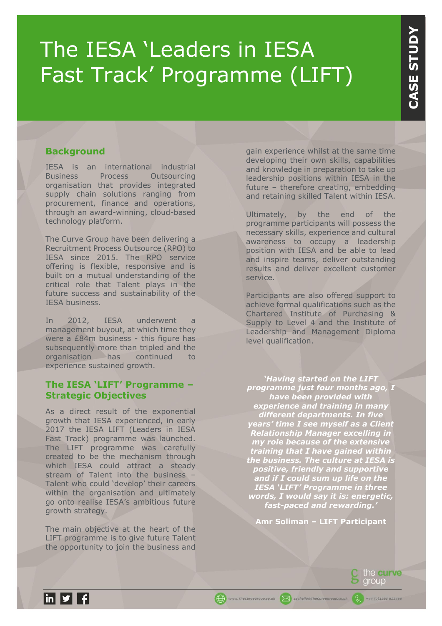# The IESA 'Leaders in IESA Fast Track' Programme (LIFT)

#### **Background**

IESA is an international industrial<br>Business Process Outsourcing Process Outsourcing organisation that provides integrated supply chain solutions ranging from procurement, finance and operations, through an award-winning, cloud-based technology platform.

The Curve Group have been delivering a Recruitment Process Outsource (RPO) to IESA since 2015. The RPO service offering is flexible, responsive and is built on a mutual understanding of the critical role that Talent plays in the future success and sustainability of the IESA business.

In 2012, IESA underwent a management buyout, at which time they were a £84m business - this figure has subsequently more than tripled and the organisation has continued to experience sustained growth.

#### **The IESA 'LIFT' Programme – Strategic Objectives**

As a direct result of the exponential growth that IESA experienced, in early 2017 the IESA LIFT (Leaders in IESA Fast Track) programme was launched. The LIFT programme was carefully created to be the mechanism through which IESA could attract a steady stream of Talent into the business – Talent who could 'develop' their careers within the organisation and ultimately go onto realise IESA's ambitious future growth strategy.

The main objective at the heart of the LIFT programme is to give future Talent the opportunity to join the business and

gain experience whilst at the same time developing their own skills, capabilities and knowledge in preparation to take up leadership positions within IESA in the future – therefore creating, embedding and retaining skilled Talent within IESA.

Ultimately, by the end of the programme participants will possess the necessary skills, experience and cultural awareness to occupy a leadership position with IESA and be able to lead and inspire teams, deliver outstanding results and deliver excellent customer service.

Participants are also offered support to achieve formal qualifications such as the Chartered Institute of Purchasing & Supply to Level 4 and the Institute of Leadership and Management Diploma level qualification.

*'Having started on the LIFT programme just four months ago, I have been provided with experience and training in many different departments. In five years' time I see myself as a Client Relationship Manager excelling in my role because of the extensive training that I have gained within the business. The culture at IESA is positive, friendly and supportive and if I could sum up life on the IESA 'LIFT' Programme in three words, I would say it is: energetic, fast-paced and rewarding.'*

**Amr Soliman – LIFT Participant**

www.TheCurveGroup.co.uk X sayhello@TheCurveG

the curve group

 $+44(0)1295811486$ 

 $\ln |y|$  f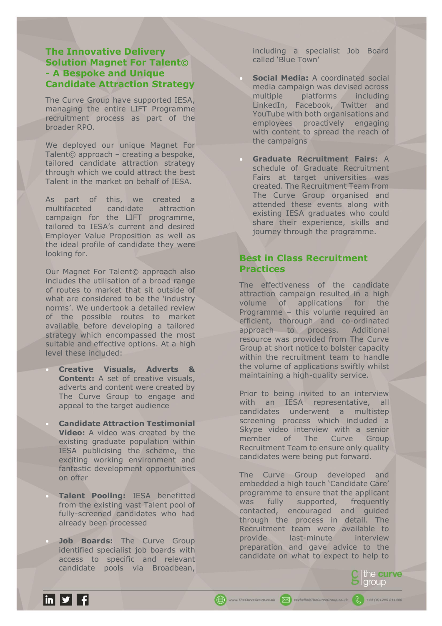# **The Innovative Delivery Solution Magnet For Talent© - A Bespoke and Unique Candidate Attraction Strategy**

The Curve Group have supported IESA, managing the entire LIFT Programme recruitment process as part of the broader RPO.

We deployed our unique Magnet For Talent© approach – creating a bespoke, tailored candidate attraction strategy through which we could attract the best Talent in the market on behalf of IESA.

As part of this, we created a multifaceted candidate attraction campaign for the LIFT programme, tailored to IESA's current and desired Employer Value Proposition as well as the ideal profile of candidate they were looking for.

Our Magnet For Talent© approach also includes the utilisation of a broad range of routes to market that sit outside of what are considered to be the 'industry norms'. We undertook a detailed review of the possible routes to market available before developing a tailored strategy which encompassed the most suitable and effective options. At a high level these included:

• **Creative Visuals, Adverts & Content:** A set of creative visuals, adverts and content were created by The Curve Group to engage and appeal to the target audience

- **Candidate Attraction Testimonial Video:** A video was created by the existing graduate population within IESA publicising the scheme, the exciting working environment and fantastic development opportunities on offer
- **Talent Pooling:** IESA benefitted from the existing vast Talent pool of fully-screened candidates who had already been processed
- **Job Boards:** The Curve Group identified specialist job boards with access to specific and relevant candidate pools via Broadbean,

including a specialist Job Board called 'Blue Town'

- **Social Media:** A coordinated social media campaign was devised across multiple platforms including LinkedIn, Facebook, Twitter and YouTube with both organisations and employees proactively engaging with content to spread the reach of the campaigns
- **Graduate Recruitment Fairs:** A schedule of Graduate Recruitment Fairs at target universities was created. The Recruitment Team from The Curve Group organised and attended these events along with existing IESA graduates who could share their experience, skills and journey through the programme.

# **Best in Class Recruitment Practices**

The effectiveness of the candidate attraction campaign resulted in a high volume of applications for the Programme – this volume required an efficient, thorough and co-ordinated approach to process. Additional resource was provided from The Curve Group at short notice to bolster capacity within the recruitment team to handle the volume of applications swiftly whilst maintaining a high-quality service.

Prior to being invited to an interview with an IESA representative, all candidates underwent a multistep screening process which included a Skype video interview with a senior member of The Curve Group Recruitment Team to ensure only quality candidates were being put forward.

The Curve Group developed and embedded a high touch 'Candidate Care' programme to ensure that the applicant was fully supported, frequently contacted, encouraged and guided through the process in detail. The Recruitment team were available to provide last-minute interview preparation and gave advice to the candidate on what to expect to help to

www.TheCurveGroup.co.uk | [X] sayhello@TheCurveGroup.co.uk

the curve group